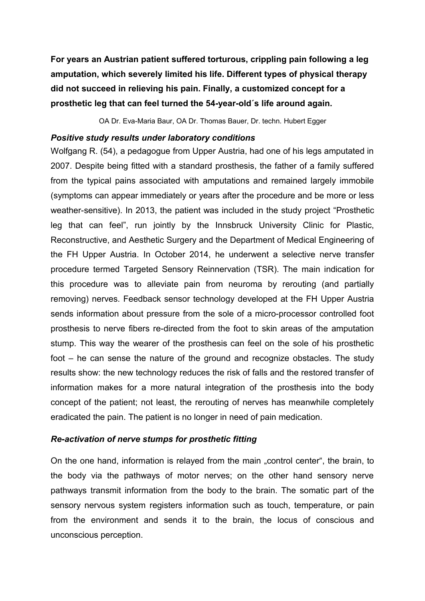**For years an Austrian patient suffered torturous, crippling pain following a leg amputation, which severely limited his life. Different types of physical therapy did not succeed in relieving his pain. Finally, a customized concept for a prosthetic leg that can feel turned the 54-year-old´s life around again.** 

OA Dr. Eva-Maria Baur, OA Dr. Thomas Bauer, Dr. techn. Hubert Egger

## *Positive study results under laboratory conditions*

Wolfgang R. (54), a pedagogue from Upper Austria, had one of his legs amputated in 2007. Despite being fitted with a standard prosthesis, the father of a family suffered from the typical pains associated with amputations and remained largely immobile (symptoms can appear immediately or years after the procedure and be more or less weather-sensitive). In 2013, the patient was included in the study project "Prosthetic leg that can feel", run jointly by the Innsbruck University Clinic for Plastic, Reconstructive, and Aesthetic Surgery and the Department of Medical Engineering of the FH Upper Austria. In October 2014, he underwent a selective nerve transfer procedure termed Targeted Sensory Reinnervation (TSR). The main indication for this procedure was to alleviate pain from neuroma by rerouting (and partially removing) nerves. Feedback sensor technology developed at the FH Upper Austria sends information about pressure from the sole of a micro-processor controlled foot prosthesis to nerve fibers re-directed from the foot to skin areas of the amputation stump. This way the wearer of the prosthesis can feel on the sole of his prosthetic foot – he can sense the nature of the ground and recognize obstacles. The study results show: the new technology reduces the risk of falls and the restored transfer of information makes for a more natural integration of the prosthesis into the body concept of the patient; not least, the rerouting of nerves has meanwhile completely eradicated the pain. The patient is no longer in need of pain medication.

## *Re-activation of nerve stumps for prosthetic fitting*

On the one hand, information is relayed from the main "control center", the brain, to the body via the pathways of motor nerves; on the other hand sensory nerve pathways transmit information from the body to the brain. The somatic part of the sensory nervous system registers information such as touch, temperature, or pain from the environment and sends it to the brain, the locus of conscious and unconscious perception.